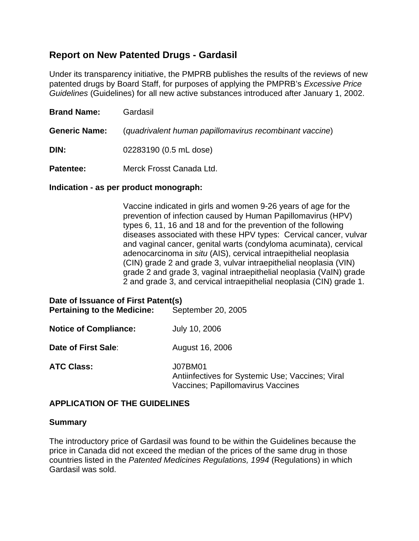# **Report on New Patented Drugs - Gardasil**

Under its transparency initiative, the PMPRB publishes the results of the reviews of new patented drugs by Board Staff, for purposes of applying the PMPRB's *Excessive Price Guidelines* (Guidelines) for all new active substances introduced after January 1, 2002.

| <b>Brand Name:</b>   | Gardasil                                                |  |
|----------------------|---------------------------------------------------------|--|
| <b>Generic Name:</b> | (quadrivalent human papillomavirus recombinant vaccine) |  |
| DIN:                 | 02283190 (0.5 mL dose)                                  |  |
|                      |                                                         |  |

**Patentee:** Merck Frosst Canada Ltd.

## **Indication - as per product monograph:**

Vaccine indicated in girls and women 9-26 years of age for the prevention of infection caused by Human Papillomavirus (HPV) types 6, 11, 16 and 18 and for the prevention of the following diseases associated with these HPV types: Cervical cancer, vulvar and vaginal cancer, genital warts (condyloma acuminata), cervical adenocarcinoma in *situ* (AIS), cervical intraepithelial neoplasia (CIN) grade 2 and grade 3, vulvar intraepithelial neoplasia (VIN) grade 2 and grade 3, vaginal intraepithelial neoplasia (VaIN) grade 2 and grade 3, and cervical intraepithelial neoplasia (CIN) grade 1.

| Date of Issuance of First Patent(s)<br><b>Pertaining to the Medicine:</b> | September 20, 2005                                                                               |
|---------------------------------------------------------------------------|--------------------------------------------------------------------------------------------------|
| <b>Notice of Compliance:</b>                                              | July 10, 2006                                                                                    |
| Date of First Sale:                                                       | August 16, 2006                                                                                  |
| <b>ATC Class:</b>                                                         | J07BM01<br>Antiinfectives for Systemic Use; Vaccines; Viral<br>Vaccines; Papillomavirus Vaccines |

# **APPLICATION OF THE GUIDELINES**

## **Summary**

The introductory price of Gardasil was found to be within the Guidelines because the price in Canada did not exceed the median of the prices of the same drug in those countries listed in the *Patented Medicines Regulations, 1994* (Regulations) in which Gardasil was sold.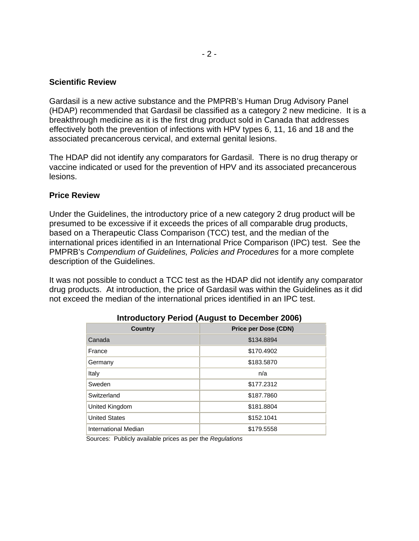#### **Scientific Review**

Gardasil is a new active substance and the PMPRB's Human Drug Advisory Panel (HDAP) recommended that Gardasil be classified as a category 2 new medicine. It is a breakthrough medicine as it is the first drug product sold in Canada that addresses effectively both the prevention of infections with HPV types 6, 11, 16 and 18 and the associated precancerous cervical, and external genital lesions.

The HDAP did not identify any comparators for Gardasil. There is no drug therapy or vaccine indicated or used for the prevention of HPV and its associated precancerous lesions.

#### **Price Review**

Under the Guidelines, the introductory price of a new category 2 drug product will be presumed to be excessive if it exceeds the prices of all comparable drug products, based on a Therapeutic Class Comparison (TCC) test, and the median of the international prices identified in an International Price Comparison (IPC) test. See the PMPRB's *Compendium of Guidelines, Policies and Procedures* for a more complete description of the Guidelines.

It was not possible to conduct a TCC test as the HDAP did not identify any comparator drug products. At introduction, the price of Gardasil was within the Guidelines as it did not exceed the median of the international prices identified in an IPC test.

| .                    |                             |  |
|----------------------|-----------------------------|--|
| <b>Country</b>       | <b>Price per Dose (CDN)</b> |  |
| Canada               | \$134.8894                  |  |
| France               | \$170.4902                  |  |
| Germany              | \$183.5870                  |  |
| Italy                | n/a                         |  |
| Sweden               | \$177.2312                  |  |
| Switzerland          | \$187.7860                  |  |
| United Kingdom       | \$181.8804                  |  |
| <b>United States</b> | \$152.1041                  |  |
| International Median | \$179.5558                  |  |

Sources: Publicly available prices as per the *Regulations*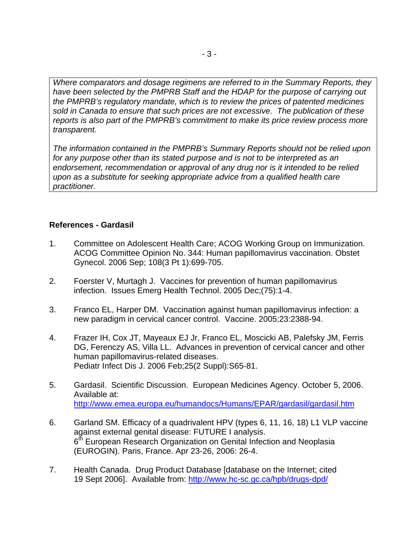*Where comparators and dosage regimens are referred to in the Summary Reports, they have been selected by the PMPRB Staff and the HDAP for the purpose of carrying out the PMPRB's regulatory mandate, which is to review the prices of patented medicines sold in Canada to ensure that such prices are not excessive. The publication of these reports is also part of the PMPRB's commitment to make its price review process more transparent.* 

*The information contained in the PMPRB's Summary Reports should not be relied upon for any purpose other than its stated purpose and is not to be interpreted as an endorsement, recommendation or approval of any drug nor is it intended to be relied upon as a substitute for seeking appropriate advice from a qualified health care practitioner.*

## **References - Gardasil**

- 1. Committee on Adolescent Health Care; ACOG Working Group on Immunization. ACOG Committee Opinion No. 344: Human papillomavirus vaccination. Obstet Gynecol. 2006 Sep; 108(3 Pt 1):699-705.
- 2. Foerster V, Murtagh J. Vaccines for prevention of human papillomavirus infection. Issues Emerg Health Technol. 2005 Dec;(75):1-4.
- 3. Franco EL, Harper DM. Vaccination against human papillomavirus infection: a new paradigm in cervical cancer control. Vaccine. 2005;23:2388-94.
- 4. Frazer IH, Cox JT, Mayeaux EJ Jr, Franco EL, Moscicki AB, Palefsky JM, Ferris DG, Ferenczy AS, Villa LL. Advances in prevention of cervical cancer and other human papillomavirus-related diseases. Pediatr Infect Dis J. 2006 Feb;25(2 Suppl):S65-81.
- 5. Gardasil. Scientific Discussion. European Medicines Agency. October 5, 2006. Available at: <http://www.emea.europa.eu/humandocs/Humans/EPAR/gardasil/gardasil.htm>
- 6. Garland SM. Efficacy of a quadrivalent HPV (types 6, 11, 16, 18) L1 VLP vaccine against external genital disease: FUTURE I analysis. 6<sup>th</sup> European Research Organization on Genital Infection and Neoplasia (EUROGIN). Paris, France. Apr 23-26, 2006: 26-4.
- 7. Health Canada. Drug Product Database [database on the Internet; cited 19 Sept 2006]. Available from:<http://www.hc-sc.gc.ca/hpb/drugs-dpd/>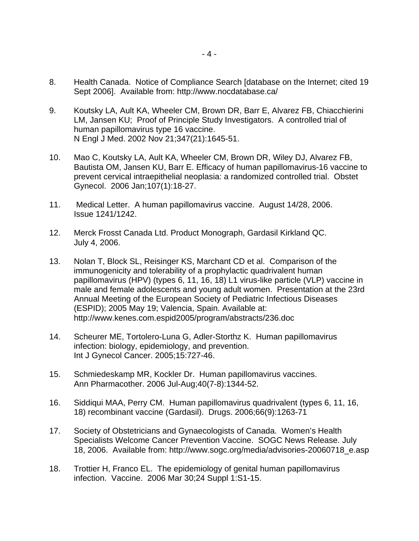- 8. Health Canada. Notice of Compliance Search [database on the Internet; cited 19 Sept 2006]. Available from: http://www.nocdatabase.ca/
- 9. Koutsky LA, Ault KA, Wheeler CM, Brown DR, Barr E, Alvarez FB, Chiacchierini LM, Jansen KU; Proof of Principle Study Investigators. A controlled trial of human papillomavirus type 16 vaccine. N Engl J Med. 2002 Nov 21;347(21):1645-51.
- 10. Mao C, Koutsky LA, Ault KA, Wheeler CM, Brown DR, Wiley DJ, Alvarez FB, Bautista OM, Jansen KU, Barr E. Efficacy of human papillomavirus-16 vaccine to prevent cervical intraepithelial neoplasia: a randomized controlled trial. Obstet Gynecol. 2006 Jan;107(1):18-27.
- 11. Medical Letter. A human papillomavirus vaccine. August 14/28, 2006. Issue 1241/1242.
- 12. Merck Frosst Canada Ltd. Product Monograph, Gardasil Kirkland QC. July 4, 2006.
- 13. Nolan T, Block SL, Reisinger KS, Marchant CD et al. Comparison of the immunogenicity and tolerability of a prophylactic quadrivalent human papillomavirus (HPV) (types 6, 11, 16, 18) L1 virus-like particle (VLP) vaccine in male and female adolescents and young adult women. Presentation at the 23rd Annual Meeting of the European Society of Pediatric Infectious Diseases (ESPID); 2005 May 19; Valencia, Spain. Available at: http://www.kenes.com.espid2005/program/abstracts/236.doc
- 14. Scheurer ME, Tortolero-Luna G, Adler-Storthz K. Human papillomavirus infection: biology, epidemiology, and prevention. Int J Gynecol Cancer. 2005;15:727-46.
- 15. Schmiedeskamp MR, Kockler Dr. Human papillomavirus vaccines. Ann Pharmacother. 2006 Jul-Aug;40(7-8):1344-52.
- 16. Siddiqui MAA, Perry CM. Human papillomavirus quadrivalent (types 6, 11, 16, 18) recombinant vaccine (Gardasil). Drugs. 2006;66(9):1263-71
- 17. Society of Obstetricians and Gynaecologists of Canada. Women's Health Specialists Welcome Cancer Prevention Vaccine. SOGC News Release. July 18, 2006. Available from: http://www.sogc.org/media/advisories-20060718\_e.asp
- 18. Trottier H, Franco EL. The epidemiology of genital human papillomavirus infection. Vaccine. 2006 Mar 30;24 Suppl 1:S1-15.